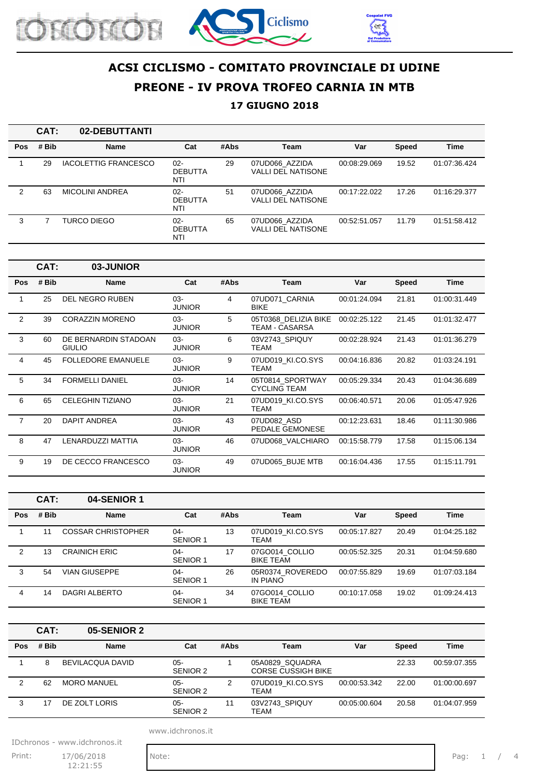





### **17 GIUGNO 2018**

|     | CAT:  | 02-DEBUTTANTI               |                                 |      |                                             |              |              |              |
|-----|-------|-----------------------------|---------------------------------|------|---------------------------------------------|--------------|--------------|--------------|
| Pos | # Bib | <b>Name</b>                 | Cat                             | #Abs | Team                                        | Var          | <b>Speed</b> | <b>Time</b>  |
|     | 29    | <b>IACOLETTIG FRANCESCO</b> | $02 -$<br><b>DEBUTTA</b><br>NTI | 29   | 07UD066 AZZIDA<br><b>VALLI DEL NATISONE</b> | 00:08:29.069 | 19.52        | 01:07:36.424 |
| 2   | 63    | <b>MICOLINI ANDREA</b>      | $02 -$<br><b>DEBUTTA</b><br>NTI | 51   | 07UD066_AZZIDA<br><b>VALLI DEL NATISONE</b> | 00:17:22.022 | 17.26        | 01:16:29.377 |
| 3   |       | <b>TURCO DIEGO</b>          | $02 -$<br><b>DEBUTTA</b><br>NTI | 65   | 07UD066 AZZIDA<br><b>VALLI DEL NATISONE</b> | 00:52:51.057 | 11.79        | 01:51:58.412 |

|                | CAT:  | 03-JUNIOR                             |                         |      |                                         |              |              |              |
|----------------|-------|---------------------------------------|-------------------------|------|-----------------------------------------|--------------|--------------|--------------|
| <b>Pos</b>     | # Bib | Name                                  | Cat                     | #Abs | Team                                    | Var          | <b>Speed</b> | <b>Time</b>  |
| 1              | 25    | <b>DEL NEGRO RUBEN</b>                | $03 -$<br><b>JUNIOR</b> | 4    | 07UD071 CARNIA<br>BIKE                  | 00:01:24.094 | 21.81        | 01:00:31.449 |
| $\overline{2}$ | 39    | <b>CORAZZIN MORENO</b>                | $03 -$<br><b>JUNIOR</b> | 5    | 05T0368 DELIZIA BIKE<br>TEAM - CASARSA  | 00:02:25.122 | 21.45        | 01:01:32.477 |
| 3              | 60    | DE BERNARDIN STADOAN<br><b>GIULIO</b> | 03-<br><b>JUNIOR</b>    | 6    | 03V2743 SPIQUY<br>TEAM                  | 00:02:28.924 | 21.43        | 01:01:36.279 |
| 4              | 45    | <b>FOLLEDORE EMANUELE</b>             | 03-<br><b>JUNIOR</b>    | 9    | 07UD019 KI.CO.SYS<br>TEAM               | 00:04:16.836 | 20.82        | 01:03:24.191 |
| 5              | 34    | <b>FORMELLI DANIEL</b>                | $03 -$<br><b>JUNIOR</b> | 14   | 05T0814 SPORTWAY<br><b>CYCLING TEAM</b> | 00:05:29.334 | 20.43        | 01:04:36.689 |
| 6              | 65    | <b>CELEGHIN TIZIANO</b>               | 03-<br><b>JUNIOR</b>    | 21   | 07UD019 KI.CO.SYS<br>TEAM               | 00:06:40.571 | 20.06        | 01:05:47.926 |
| $\overline{7}$ | 20    | DAPIT ANDREA                          | 03-<br><b>JUNIOR</b>    | 43   | 07UD082 ASD<br>PEDALE GEMONESE          | 00:12:23.631 | 18.46        | 01:11:30.986 |
| 8              | 47    | LENARDUZZI MATTIA                     | $03 -$<br><b>JUNIOR</b> | 46   | 07UD068_VALCHIARO                       | 00:15:58.779 | 17.58        | 01:15:06.134 |
| 9              | 19    | DE CECCO FRANCESCO                    | 03-<br><b>JUNIOR</b>    | 49   | 07UD065 BUJE MTB                        | 00:16:04.436 | 17.55        | 01:15:11.791 |

|     | CAT:  | 04-SENIOR 1               |                           |      |                                    |              |              |              |
|-----|-------|---------------------------|---------------------------|------|------------------------------------|--------------|--------------|--------------|
| Pos | # Bib | <b>Name</b>               | Cat                       | #Abs | <b>Team</b>                        | Var          | <b>Speed</b> | <b>Time</b>  |
|     | 11    | <b>COSSAR CHRISTOPHER</b> | $04-$<br><b>SENIOR 1</b>  | 13   | 07UD019 KI.CO.SYS<br>TEAM          | 00:05:17.827 | 20.49        | 01:04:25.182 |
| 2   | 13    | <b>CRAINICH ERIC</b>      | $04-$<br>SENIOR 1         | 17   | 07GO014 COLLIO<br><b>BIKE TEAM</b> | 00:05:52.325 | 20.31        | 01:04:59.680 |
| 3   | 54    | <b>VIAN GIUSEPPE</b>      | $04 -$<br>SENIOR 1        | 26   | 05R0374 ROVEREDO<br>IN PIANO       | 00:07:55.829 | 19.69        | 01:07:03.184 |
| 4   | 14    | DAGRI ALBERTO             | $04 -$<br><b>SENIOR 1</b> | 34   | 07GO014 COLLIO<br><b>BIKE TEAM</b> | 00:10:17.058 | 19.02        | 01:09:24.413 |

|     | CAT:  | 05-SENIOR 2        |                 |      |                                              |              |              |              |
|-----|-------|--------------------|-----------------|------|----------------------------------------------|--------------|--------------|--------------|
| Pos | # Bib | <b>Name</b>        | Cat             | #Abs | Team                                         | Var          | <b>Speed</b> | Time         |
|     | 8     | BEVILACQUA DAVID   | 05-<br>SENIOR 2 |      | 05A0829 SQUADRA<br><b>CORSE CUSSIGH BIKE</b> |              | 22.33        | 00:59:07.355 |
| 2   | 62    | <b>MORO MANUEL</b> | 05-<br>SENIOR 2 | 2    | 07UD019 KI.CO.SYS<br><b>TEAM</b>             | 00:00:53.342 | 22.00        | 01:00:00.697 |
|     | 17    | DE ZOLT LORIS      | 05-<br>SENIOR 2 | 11   | 03V2743 SPIQUY<br>TEAM                       | 00:05:00.604 | 20.58        | 01:04:07.959 |

www.idchronos.it

IDchronos - www.idchronos.it

Print: 17/06/2018 Note: Pag: 1 / 4  $12:21:55$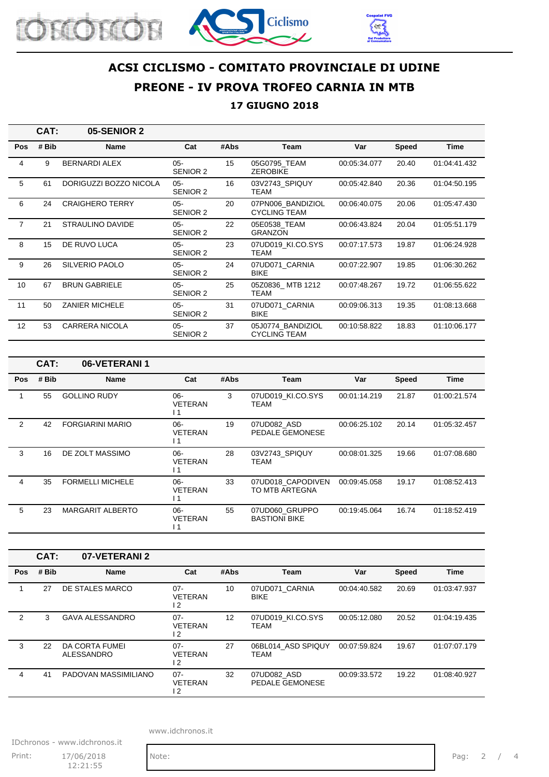





### **17 GIUGNO 2018**

|                | CAT:  | 05-SENIOR 2            |                           |      |                                          |              |              |              |
|----------------|-------|------------------------|---------------------------|------|------------------------------------------|--------------|--------------|--------------|
| <b>Pos</b>     | # Bib | <b>Name</b>            | Cat                       | #Abs | Team                                     | Var          | <b>Speed</b> | <b>Time</b>  |
| 4              | 9     | <b>BERNARDI ALEX</b>   | $05 -$<br>SENIOR 2        | 15   | 05G0795 TEAM<br><b>ZEROBIKE</b>          | 00:05:34.077 | 20.40        | 01:04:41.432 |
| 5              | 61    | DORIGUZZI BOZZO NICOLA | $05 -$<br>SENIOR 2        | 16   | 03V2743_SPIQUY<br><b>TEAM</b>            | 00:05:42.840 | 20.36        | 01:04:50.195 |
| 6              | 24    | <b>CRAIGHERO TERRY</b> | $05 -$<br>SENIOR 2        | 20   | 07PN006 BANDIZIOL<br><b>CYCLING TEAM</b> | 00:06:40.075 | 20.06        | 01:05:47.430 |
| $\overline{7}$ | 21    | STRAULINO DAVIDE       | $0.5 -$<br>SENIOR 2       | 22   | 05E0538 TEAM<br><b>GRANZON</b>           | 00:06:43.824 | 20.04        | 01:05:51.179 |
| 8              | 15    | DE RUVO LUCA           | $05 -$<br>SENIOR 2        | 23   | 07UD019 KI.CO.SYS<br><b>TEAM</b>         | 00:07:17.573 | 19.87        | 01:06:24.928 |
| 9              | 26    | <b>SILVERIO PAOLO</b>  | $05 -$<br>SENIOR 2        | 24   | 07UD071 CARNIA<br><b>BIKE</b>            | 00:07:22.907 | 19.85        | 01:06:30.262 |
| 10             | 67    | <b>BRUN GABRIELE</b>   | $05 -$<br>SENIOR 2        | 25   | 05Z0836 MTB 1212<br><b>TEAM</b>          | 00:07:48.267 | 19.72        | 01:06:55.622 |
| 11             | 50    | <b>ZANIER MICHELE</b>  | $05 -$<br>SENIOR 2        | 31   | 07UD071 CARNIA<br><b>BIKE</b>            | 00:09:06.313 | 19.35        | 01:08:13.668 |
| 12             | 53    | <b>CARRERA NICOLA</b>  | $05 -$<br><b>SENIOR 2</b> | 37   | 05J0774 BANDIZIOL<br><b>CYCLING TEAM</b> | 00:10:58.822 | 18.83        | 01:10:06.177 |

|                | CAT:  | 06-VETERANI 1           |                                            |      |                                        |              |              |              |
|----------------|-------|-------------------------|--------------------------------------------|------|----------------------------------------|--------------|--------------|--------------|
| <b>Pos</b>     | # Bib | <b>Name</b>             | Cat                                        | #Abs | Team                                   | Var          | <b>Speed</b> | Time         |
|                | 55    | <b>GOLLINO RUDY</b>     | $06-$<br><b>VETERAN</b><br>l 1             | 3    | 07UD019 KI.CO.SYS<br>TEAM              | 00:01:14.219 | 21.87        | 01:00:21.574 |
| $\overline{2}$ | 42    | <b>FORGIARINI MARIO</b> | $06-$<br><b>VETERAN</b><br>$\overline{11}$ | 19   | 07UD082 ASD<br>PEDALE GEMONESE         | 00:06:25.102 | 20.14        | 01:05:32.457 |
| 3              | 16    | DE ZOLT MASSIMO         | $06-$<br><b>VETERAN</b><br>$\overline{11}$ | 28   | 03V2743 SPIQUY<br>TEAM                 | 00:08:01.325 | 19.66        | 01:07:08.680 |
| 4              | 35    | <b>FORMELLI MICHELE</b> | $06-$<br><b>VETERAN</b><br>$\overline{1}$  | 33   | 07UD018 CAPODIVEN<br>TO MTB ARTEGNA    | 00:09:45.058 | 19.17        | 01:08:52.413 |
| 5              | 23    | <b>MARGARIT ALBERTO</b> | $06-$<br><b>VETERAN</b><br>l 1             | 55   | 07UD060 GRUPPO<br><b>BASTIONI BIKE</b> | 00:19:45.064 | 16.74        | 01:18:52.419 |

|     | CAT:  | 07-VETERANI 2                |                                 |      |                                  |              |              |              |
|-----|-------|------------------------------|---------------------------------|------|----------------------------------|--------------|--------------|--------------|
| Pos | # Bib | <b>Name</b>                  | Cat                             | #Abs | Team                             | Var          | <b>Speed</b> | <b>Time</b>  |
|     | 27    | DE STALES MARCO              | $07 -$<br><b>VETERAN</b><br>12  | 10   | 07UD071 CARNIA<br><b>BIKE</b>    | 00:04:40.582 | 20.69        | 01:03:47.937 |
| 2   | 3     | <b>GAVA ALESSANDRO</b>       | $07 -$<br><b>VETERAN</b><br>2 ا | 12   | 07UD019 KI.CO.SYS<br><b>TEAM</b> | 00:05:12.080 | 20.52        | 01:04:19.435 |
| 3   | 22    | DA CORTA FUMEI<br>ALESSANDRO | $07 -$<br><b>VETERAN</b><br>12  | 27   | 06BL014 ASD SPIQUY<br>TEAM       | 00:07:59.824 | 19.67        | 01:07:07.179 |
| 4   | 41    | PADOVAN MASSIMILIANO         | $07 -$<br><b>VETERAN</b><br>2 ا | 32   | 07UD082 ASD<br>PEDALE GEMONESE   | 00:09:33.572 | 19.22        | 01:08:40.927 |

www.idchronos.it

IDchronos - www.idchronos.it Print: 17/06/2018 Note: Pag: 2 / 4  $12:21:55$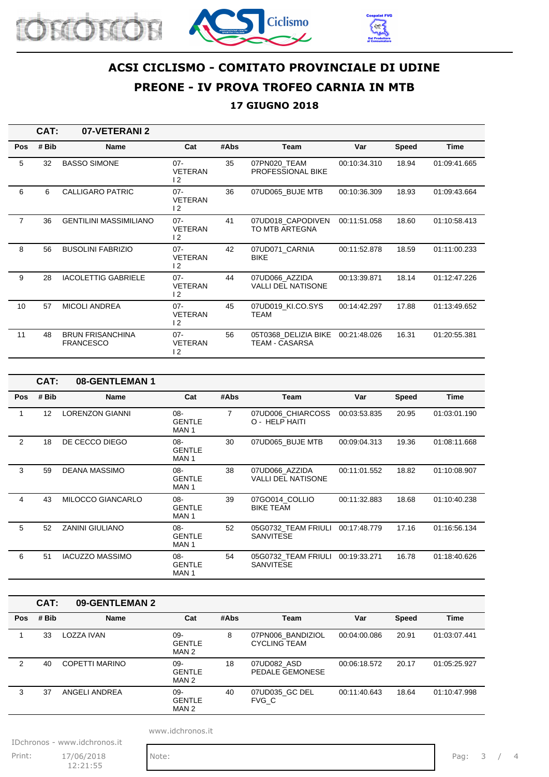





#### **17 GIUGNO 2018**

|                | CAT:  | 07-VETERANI 2                               |                                            |      |                                               |              |              |              |
|----------------|-------|---------------------------------------------|--------------------------------------------|------|-----------------------------------------------|--------------|--------------|--------------|
| <b>Pos</b>     | # Bib | <b>Name</b>                                 | Cat                                        | #Abs | Team                                          | Var          | <b>Speed</b> | Time         |
| 5              | 32    | <b>BASSO SIMONE</b>                         | $07 -$<br><b>VETERAN</b><br>$\overline{2}$ | 35   | 07PN020_TEAM<br><b>PROFESSIONAL BIKE</b>      | 00:10:34.310 | 18.94        | 01:09:41.665 |
| 6              | 6     | <b>CALLIGARO PATRIC</b>                     | $07 -$<br><b>VETERAN</b><br>12             | 36   | 07UD065 BUJE MTB                              | 00:10:36.309 | 18.93        | 01:09:43.664 |
| $\overline{7}$ | 36    | <b>GENTILINI MASSIMILIANO</b>               | $07 -$<br><b>VETERAN</b><br>$\overline{2}$ | 41   | 07UD018_CAPODIVEN<br>TO MTB ARTEGNA           | 00:11:51.058 | 18.60        | 01:10:58.413 |
| 8              | 56    | <b>BUSOLINI FABRIZIO</b>                    | $07 -$<br><b>VETERAN</b><br>$\overline{2}$ | 42   | 07UD071 CARNIA<br><b>BIKE</b>                 | 00:11:52.878 | 18.59        | 01:11:00.233 |
| 9              | 28    | <b>IACOLETTIG GABRIELE</b>                  | $07 -$<br><b>VETERAN</b><br>$\overline{2}$ | 44   | 07UD066_AZZIDA<br>VALLI DEL NATISONE          | 00:13:39.871 | 18.14        | 01:12:47.226 |
| 10             | 57    | <b>MICOLI ANDREA</b>                        | $07 -$<br><b>VETERAN</b><br>$\overline{2}$ | 45   | 07UD019_KI.CO.SYS<br><b>TEAM</b>              | 00:14:42.297 | 17.88        | 01:13:49.652 |
| 11             | 48    | <b>BRUN FRISANCHINA</b><br><b>FRANCESCO</b> | $07 -$<br><b>VETERAN</b><br>$\overline{2}$ | 56   | 05T0368_DELIZIA BIKE<br><b>TEAM - CASARSA</b> | 00:21:48.026 | 16.31        | 01:20:55.381 |

|            | CAT:  | 08-GENTLEMAN 1         |                                             |      |                                             |              |       |              |
|------------|-------|------------------------|---------------------------------------------|------|---------------------------------------------|--------------|-------|--------------|
| <b>Pos</b> | # Bib | <b>Name</b>            | Cat                                         | #Abs | <b>Team</b>                                 | Var          | Speed | <b>Time</b>  |
|            | 12    | <b>LORENZON GIANNI</b> | 08-<br><b>GENTLE</b><br>MAN 1               | 7    | 07UD006_CHIARCOSS<br>O - HELP HAITI         | 00:03:53.835 | 20.95 | 01:03:01.190 |
| 2          | 18    | DE CECCO DIEGO         | $08 -$<br><b>GENTLE</b><br>MAN 1            | 30   | 07UD065 BUJE MTB                            | 00:09:04.313 | 19.36 | 01:08:11.668 |
| 3          | 59    | <b>DEANA MASSIMO</b>   | $08 -$<br><b>GENTLE</b><br>MAN 1            | 38   | 07UD066 AZZIDA<br><b>VALLI DEL NATISONE</b> | 00:11:01.552 | 18.82 | 01:10:08.907 |
| 4          | 43    | MILOCCO GIANCARLO      | $08 -$<br><b>GENTLE</b><br>MAN 1            | 39   | 07GO014 COLLIO<br><b>BIKE TEAM</b>          | 00:11:32.883 | 18.68 | 01:10:40.238 |
| 5          | 52    | <b>ZANINI GIULIANO</b> | $08 -$<br><b>GENTLE</b><br>MAN <sub>1</sub> | 52   | 05G0732_TEAM FRIULI<br><b>SANVITESE</b>     | 00:17:48.779 | 17.16 | 01:16:56.134 |
| 6          | 51    | <b>IACUZZO MASSIMO</b> | $08 -$<br><b>GENTLE</b><br>MAN <sub>1</sub> | 54   | 05G0732 TEAM FRIULI<br><b>SANVITESE</b>     | 00:19:33.271 | 16.78 | 01:18:40.626 |

|            | CAT:  | 09-GENTLEMAN 2 |                               |      |                                          |              |              |              |
|------------|-------|----------------|-------------------------------|------|------------------------------------------|--------------|--------------|--------------|
| <b>Pos</b> | # Bib | <b>Name</b>    | Cat                           | #Abs | <b>Team</b>                              | Var          | <b>Speed</b> | <b>Time</b>  |
|            | 33    | LOZZA IVAN     | 09-<br><b>GENTLE</b><br>MAN 2 | 8    | 07PN006 BANDIZIOL<br><b>CYCLING TEAM</b> | 00:04:00.086 | 20.91        | 01:03:07.441 |
| 2          | 40    | COPETTI MARINO | 09-<br><b>GENTLE</b><br>MAN 2 | 18   | 07UD082_ASD<br>PEDALE GEMONESE           | 00:06:18.572 | 20.17        | 01:05:25.927 |
| 3          | 37    | ANGELI ANDREA  | 09-<br><b>GENTLE</b><br>MAN 2 | 40   | 07UD035 GC DEL<br>FVG C                  | 00:11:40.643 | 18.64        | 01:10:47.998 |

www.idchronos.it

IDchronos - www.idchronos.it

Print: 17/06/2018 Note: Pag: 3 / 4  $12:21:55$